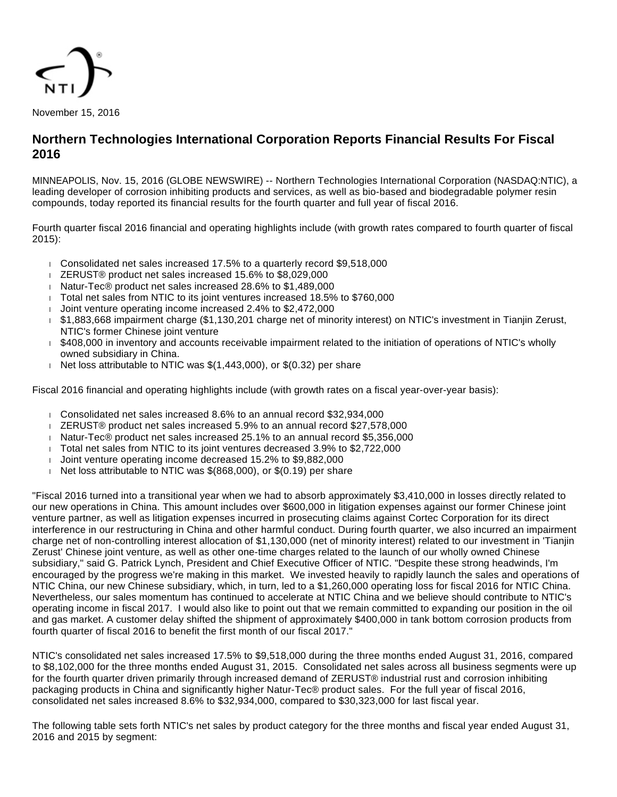

# **Northern Technologies International Corporation Reports Financial Results For Fiscal 2016**

MINNEAPOLIS, Nov. 15, 2016 (GLOBE NEWSWIRE) -- Northern Technologies International Corporation (NASDAQ:NTIC), a leading developer of corrosion inhibiting products and services, as well as bio-based and biodegradable polymer resin compounds, today reported its financial results for the fourth quarter and full year of fiscal 2016.

Fourth quarter fiscal 2016 financial and operating highlights include (with growth rates compared to fourth quarter of fiscal 2015):

- Consolidated net sales increased 17.5% to a quarterly record \$9,518,000
- ZERUST® product net sales increased 15.6% to \$8,029,000
- Natur-Tec® product net sales increased 28.6% to \$1,489,000
- Total net sales from NTIC to its joint ventures increased 18.5% to \$760,000
- Joint venture operating income increased 2.4% to \$2,472,000
- \$1,883,668 impairment charge (\$1,130,201 charge net of minority interest) on NTIC's investment in Tianjin Zerust, NTIC's former Chinese joint venture
- \$408,000 in inventory and accounts receivable impairment related to the initiation of operations of NTIC's wholly owned subsidiary in China.
- Net loss attributable to NTIC was  $$(1,443,000)$ , or  $$(0.32)$  per share

Fiscal 2016 financial and operating highlights include (with growth rates on a fiscal year-over-year basis):

- Consolidated net sales increased 8.6% to an annual record \$32,934,000
- ZERUST® product net sales increased 5.9% to an annual record \$27,578,000
- Natur-Tec® product net sales increased 25.1% to an annual record \$5,356,000
- Total net sales from NTIC to its joint ventures decreased 3.9% to \$2,722,000
- Joint venture operating income decreased 15.2% to \$9,882,000
- Net loss attributable to NTIC was  $$(868,000)$ , or  $$(0.19)$  per share

"Fiscal 2016 turned into a transitional year when we had to absorb approximately \$3,410,000 in losses directly related to our new operations in China. This amount includes over \$600,000 in litigation expenses against our former Chinese joint venture partner, as well as litigation expenses incurred in prosecuting claims against Cortec Corporation for its direct interference in our restructuring in China and other harmful conduct. During fourth quarter, we also incurred an impairment charge net of non-controlling interest allocation of \$1,130,000 (net of minority interest) related to our investment in 'Tianjin Zerust' Chinese joint venture, as well as other one-time charges related to the launch of our wholly owned Chinese subsidiary," said G. Patrick Lynch, President and Chief Executive Officer of NTIC. "Despite these strong headwinds, I'm encouraged by the progress we're making in this market. We invested heavily to rapidly launch the sales and operations of NTIC China, our new Chinese subsidiary, which, in turn, led to a \$1,260,000 operating loss for fiscal 2016 for NTIC China. Nevertheless, our sales momentum has continued to accelerate at NTIC China and we believe should contribute to NTIC's operating income in fiscal 2017. I would also like to point out that we remain committed to expanding our position in the oil and gas market. A customer delay shifted the shipment of approximately \$400,000 in tank bottom corrosion products from fourth quarter of fiscal 2016 to benefit the first month of our fiscal 2017."

NTIC's consolidated net sales increased 17.5% to \$9,518,000 during the three months ended August 31, 2016, compared to \$8,102,000 for the three months ended August 31, 2015. Consolidated net sales across all business segments were up for the fourth quarter driven primarily through increased demand of ZERUST® industrial rust and corrosion inhibiting packaging products in China and significantly higher Natur-Tec® product sales. For the full year of fiscal 2016, consolidated net sales increased 8.6% to \$32,934,000, compared to \$30,323,000 for last fiscal year.

The following table sets forth NTIC's net sales by product category for the three months and fiscal year ended August 31, 2016 and 2015 by segment: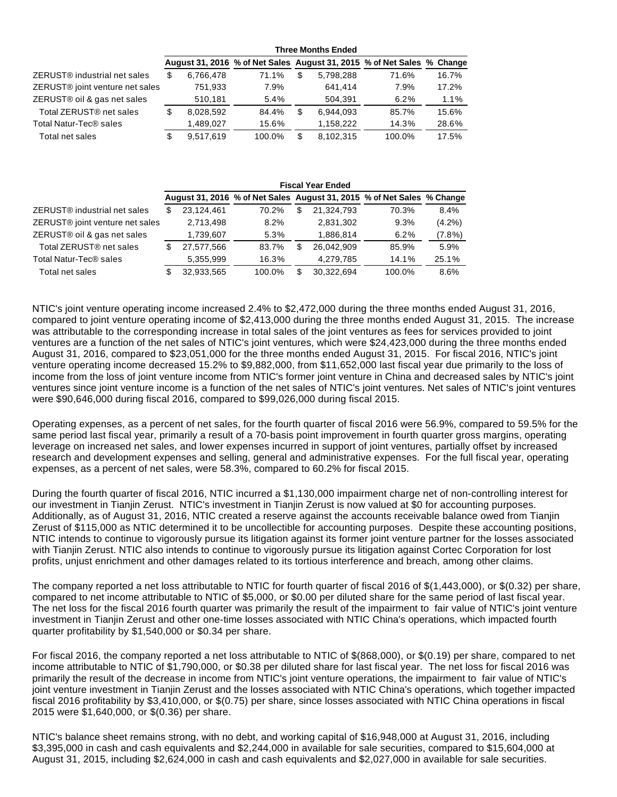|                                             | <b>Three Months Ended</b> |           |        |    |           |                                                                        |       |  |
|---------------------------------------------|---------------------------|-----------|--------|----|-----------|------------------------------------------------------------------------|-------|--|
|                                             |                           |           |        |    |           | August 31, 2016 % of Net Sales August 31, 2015 % of Net Sales % Change |       |  |
| ZERUST <sup>®</sup> industrial net sales    | S                         | 6.766.478 | 71.1%  | \$ | 5.798.288 | 71.6%                                                                  | 16.7% |  |
| ZERUST <sup>®</sup> joint venture net sales |                           | 751,933   | 7.9%   |    | 641.414   | 7.9%                                                                   | 17.2% |  |
| ZERUST® oil & gas net sales                 |                           | 510.181   | 5.4%   |    | 504.391   | 6.2%                                                                   | 1.1%  |  |
| Total ZERUST <sup>®</sup> net sales         | \$                        | 8.028.592 | 84.4%  | \$ | 6.944.093 | 85.7%                                                                  | 15.6% |  |
| Total Natur-Tec® sales                      |                           | 1.489.027 | 15.6%  |    | 1.158.222 | 14.3%                                                                  | 28.6% |  |
| Total net sales                             |                           | 9.517.619 | 100.0% | \$ | 8.102.315 | 100.0%                                                                 | 17.5% |  |

|                                             | <b>Fiscal Year Ended</b> |            |        |                                                                        |            |        |           |  |
|---------------------------------------------|--------------------------|------------|--------|------------------------------------------------------------------------|------------|--------|-----------|--|
|                                             |                          |            |        | August 31, 2016 % of Net Sales August 31, 2015 % of Net Sales % Change |            |        |           |  |
| ZERUST <sup>®</sup> industrial net sales    | S                        | 23.124.461 | 70.2%  | \$                                                                     | 21.324.793 | 70.3%  | 8.4%      |  |
| ZERUST <sup>®</sup> joint venture net sales |                          | 2,713,498  | 8.2%   |                                                                        | 2,831,302  | 9.3%   | $(4.2\%)$ |  |
| ZERUST® oil & gas net sales                 |                          | 1,739,607  | 5.3%   |                                                                        | 1,886,814  | 6.2%   | $(7.8\%)$ |  |
| Total ZERUST <sup>®</sup> net sales         | S                        | 27,577,566 | 83.7%  | S                                                                      | 26.042.909 | 85.9%  | 5.9%      |  |
| Total Natur-Tec® sales                      |                          | 5,355,999  | 16.3%  |                                                                        | 4,279,785  | 14.1%  | 25.1%     |  |
| Total net sales                             |                          | 32.933.565 | 100.0% |                                                                        | 30.322.694 | 100.0% | 8.6%      |  |

NTIC's joint venture operating income increased 2.4% to \$2,472,000 during the three months ended August 31, 2016, compared to joint venture operating income of \$2,413,000 during the three months ended August 31, 2015. The increase was attributable to the corresponding increase in total sales of the joint ventures as fees for services provided to joint ventures are a function of the net sales of NTIC's joint ventures, which were \$24,423,000 during the three months ended August 31, 2016, compared to \$23,051,000 for the three months ended August 31, 2015. For fiscal 2016, NTIC's joint venture operating income decreased 15.2% to \$9,882,000, from \$11,652,000 last fiscal year due primarily to the loss of income from the loss of joint venture income from NTIC's former joint venture in China and decreased sales by NTIC's joint ventures since joint venture income is a function of the net sales of NTIC's joint ventures. Net sales of NTIC's joint ventures were \$90,646,000 during fiscal 2016, compared to \$99,026,000 during fiscal 2015.

Operating expenses, as a percent of net sales, for the fourth quarter of fiscal 2016 were 56.9%, compared to 59.5% for the same period last fiscal year, primarily a result of a 70-basis point improvement in fourth quarter gross margins, operating leverage on increased net sales, and lower expenses incurred in support of joint ventures, partially offset by increased research and development expenses and selling, general and administrative expenses. For the full fiscal year, operating expenses, as a percent of net sales, were 58.3%, compared to 60.2% for fiscal 2015.

During the fourth quarter of fiscal 2016, NTIC incurred a \$1,130,000 impairment charge net of non-controlling interest for our investment in Tianjin Zerust. NTIC's investment in Tianjin Zerust is now valued at \$0 for accounting purposes. Additionally, as of August 31, 2016, NTIC created a reserve against the accounts receivable balance owed from Tianjin Zerust of \$115,000 as NTIC determined it to be uncollectible for accounting purposes. Despite these accounting positions, NTIC intends to continue to vigorously pursue its litigation against its former joint venture partner for the losses associated with Tianjin Zerust. NTIC also intends to continue to vigorously pursue its litigation against Cortec Corporation for lost profits, unjust enrichment and other damages related to its tortious interference and breach, among other claims.

The company reported a net loss attributable to NTIC for fourth quarter of fiscal 2016 of \$(1,443,000), or \$(0.32) per share, compared to net income attributable to NTIC of \$5,000, or \$0.00 per diluted share for the same period of last fiscal year. The net loss for the fiscal 2016 fourth quarter was primarily the result of the impairment to fair value of NTIC's joint venture investment in Tianjin Zerust and other one-time losses associated with NTIC China's operations, which impacted fourth quarter profitability by \$1,540,000 or \$0.34 per share.

For fiscal 2016, the company reported a net loss attributable to NTIC of \$(868,000), or \$(0.19) per share, compared to net income attributable to NTIC of \$1,790,000, or \$0.38 per diluted share for last fiscal year. The net loss for fiscal 2016 was primarily the result of the decrease in income from NTIC's joint venture operations, the impairment to fair value of NTIC's joint venture investment in Tianjin Zerust and the losses associated with NTIC China's operations, which together impacted fiscal 2016 profitability by \$3,410,000, or \$(0.75) per share, since losses associated with NTIC China operations in fiscal 2015 were \$1,640,000, or \$(0.36) per share.

NTIC's balance sheet remains strong, with no debt, and working capital of \$16,948,000 at August 31, 2016, including \$3,395,000 in cash and cash equivalents and \$2,244,000 in available for sale securities, compared to \$15,604,000 at August 31, 2015, including \$2,624,000 in cash and cash equivalents and \$2,027,000 in available for sale securities.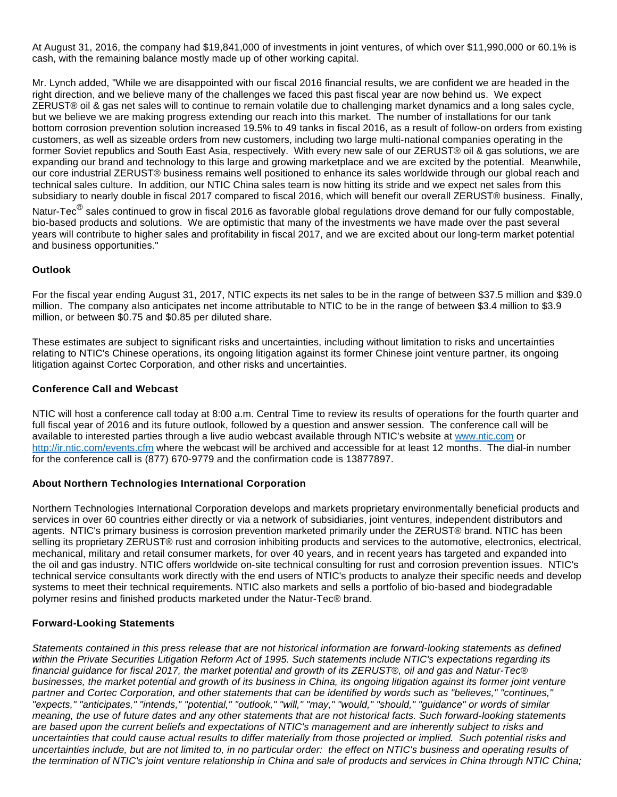At August 31, 2016, the company had \$19,841,000 of investments in joint ventures, of which over \$11,990,000 or 60.1% is cash, with the remaining balance mostly made up of other working capital.

Mr. Lynch added, "While we are disappointed with our fiscal 2016 financial results, we are confident we are headed in the right direction, and we believe many of the challenges we faced this past fiscal year are now behind us. We expect ZERUST® oil & gas net sales will to continue to remain volatile due to challenging market dynamics and a long sales cycle, but we believe we are making progress extending our reach into this market. The number of installations for our tank bottom corrosion prevention solution increased 19.5% to 49 tanks in fiscal 2016, as a result of follow-on orders from existing customers, as well as sizeable orders from new customers, including two large multi-national companies operating in the former Soviet republics and South East Asia, respectively. With every new sale of our ZERUST® oil & gas solutions, we are expanding our brand and technology to this large and growing marketplace and we are excited by the potential. Meanwhile, our core industrial ZERUST® business remains well positioned to enhance its sales worldwide through our global reach and technical sales culture. In addition, our NTIC China sales team is now hitting its stride and we expect net sales from this subsidiary to nearly double in fiscal 2017 compared to fiscal 2016, which will benefit our overall ZERUST® business. Finally,

Natur-Tec $^\circledR$  sales continued to grow in fiscal 2016 as favorable global regulations drove demand for our fully compostable, bio-based products and solutions. We are optimistic that many of the investments we have made over the past several years will contribute to higher sales and profitability in fiscal 2017, and we are excited about our long-term market potential and business opportunities."

#### **Outlook**

For the fiscal year ending August 31, 2017, NTIC expects its net sales to be in the range of between \$37.5 million and \$39.0 million. The company also anticipates net income attributable to NTIC to be in the range of between \$3.4 million to \$3.9 million, or between \$0.75 and \$0.85 per diluted share.

These estimates are subject to significant risks and uncertainties, including without limitation to risks and uncertainties relating to NTIC's Chinese operations, its ongoing litigation against its former Chinese joint venture partner, its ongoing litigation against Cortec Corporation, and other risks and uncertainties.

#### **Conference Call and Webcast**

NTIC will host a conference call today at 8:00 a.m. Central Time to review its results of operations for the fourth quarter and full fiscal year of 2016 and its future outlook, followed by a question and answer session. The conference call will be available to interested parties through a live audio webcast available through NTIC's website at [www.ntic.com](https://www.globenewswire.com/Tracker?data=XNDmJq51HXsBY4HGzlVDVsswasJm-sHKspHccl9XREJ8XeLJLE7ZdxTOKk5O6nG9_Niamu-to3Sgq3jaqzUDaw==) or [http://ir.ntic.com/events.cfm](https://www.globenewswire.com/Tracker?data=O4TSJcrplLcYMPk8JfSkeJU4RAlyL32r94VxjZC58_S9rMeDtk71nX2yobrrQLdfs8QKEYj63hgeAmU5f1BG90mF4mPZIh-2RBAyzfOAAdmXa9eP-BacOBGS1M9COoxV) where the webcast will be archived and accessible for at least 12 months. The dial-in number for the conference call is (877) 670-9779 and the confirmation code is 13877897.

## **About Northern Technologies International Corporation**

Northern Technologies International Corporation develops and markets proprietary environmentally beneficial products and services in over 60 countries either directly or via a network of subsidiaries, joint ventures, independent distributors and agents. NTIC's primary business is corrosion prevention marketed primarily under the ZERUST® brand. NTIC has been selling its proprietary ZERUST® rust and corrosion inhibiting products and services to the automotive, electronics, electrical, mechanical, military and retail consumer markets, for over 40 years, and in recent years has targeted and expanded into the oil and gas industry. NTIC offers worldwide on-site technical consulting for rust and corrosion prevention issues. NTIC's technical service consultants work directly with the end users of NTIC's products to analyze their specific needs and develop systems to meet their technical requirements. NTIC also markets and sells a portfolio of bio-based and biodegradable polymer resins and finished products marketed under the Natur-Tec® brand.

## **Forward-Looking Statements**

Statements contained in this press release that are not historical information are forward-looking statements as defined within the Private Securities Litigation Reform Act of 1995. Such statements include NTIC's expectations regarding its financial guidance for fiscal 2017, the market potential and growth of its ZERUST®, oil and gas and Natur-Tec® businesses, the market potential and growth of its business in China, its ongoing litigation against its former joint venture partner and Cortec Corporation, and other statements that can be identified by words such as "believes," "continues," "expects," "anticipates," "intends," "potential," "outlook," "will," "may," "would," "should," "guidance" or words of similar meaning, the use of future dates and any other statements that are not historical facts. Such forward-looking statements are based upon the current beliefs and expectations of NTIC's management and are inherently subject to risks and uncertainties that could cause actual results to differ materially from those projected or implied. Such potential risks and uncertainties include, but are not limited to, in no particular order: the effect on NTIC's business and operating results of the termination of NTIC's joint venture relationship in China and sale of products and services in China through NTIC China;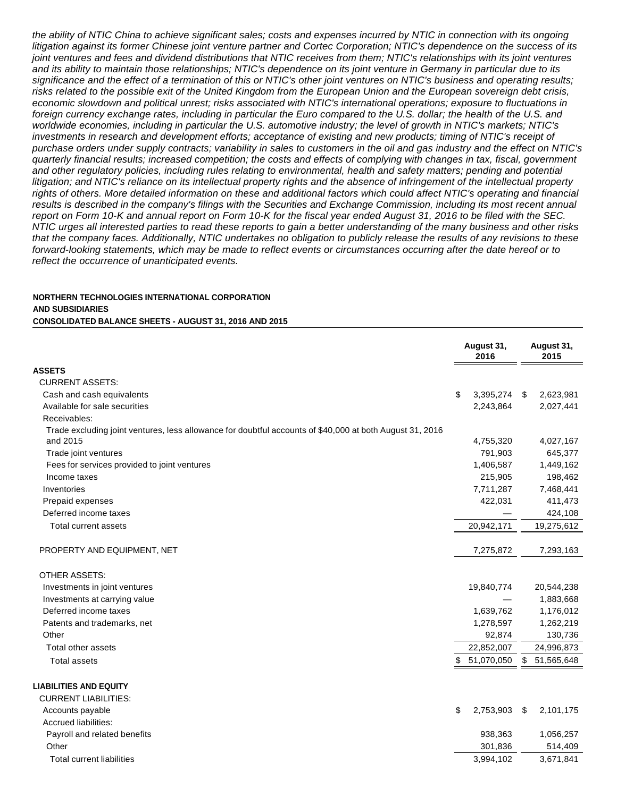the ability of NTIC China to achieve significant sales; costs and expenses incurred by NTIC in connection with its ongoing litigation against its former Chinese joint venture partner and Cortec Corporation; NTIC's dependence on the success of its joint ventures and fees and dividend distributions that NTIC receives from them; NTIC's relationships with its joint ventures and its ability to maintain those relationships; NTIC's dependence on its joint venture in Germany in particular due to its significance and the effect of a termination of this or NTIC's other joint ventures on NTIC's business and operating results; risks related to the possible exit of the United Kingdom from the European Union and the European sovereign debt crisis, economic slowdown and political unrest; risks associated with NTIC's international operations; exposure to fluctuations in foreign currency exchange rates, including in particular the Euro compared to the U.S. dollar; the health of the U.S. and worldwide economies, including in particular the U.S. automotive industry; the level of growth in NTIC's markets; NTIC's investments in research and development efforts; acceptance of existing and new products; timing of NTIC's receipt of purchase orders under supply contracts; variability in sales to customers in the oil and gas industry and the effect on NTIC's quarterly financial results; increased competition; the costs and effects of complying with changes in tax, fiscal, government and other regulatory policies, including rules relating to environmental, health and safety matters; pending and potential litigation; and NTIC's reliance on its intellectual property rights and the absence of infringement of the intellectual property rights of others. More detailed information on these and additional factors which could affect NTIC's operating and financial results is described in the company's filings with the Securities and Exchange Commission, including its most recent annual report on Form 10-K and annual report on Form 10-K for the fiscal year ended August 31, 2016 to be filed with the SEC. NTIC urges all interested parties to read these reports to gain a better understanding of the many business and other risks that the company faces. Additionally, NTIC undertakes no obligation to publicly release the results of any revisions to these forward-looking statements, which may be made to reflect events or circumstances occurring after the date hereof or to reflect the occurrence of unanticipated events.

#### **NORTHERN TECHNOLOGIES INTERNATIONAL CORPORATION AND SUBSIDIARIES**

#### **CONSOLIDATED BALANCE SHEETS - AUGUST 31, 2016 AND 2015**

|                                                                                                          |    | August 31,<br>2016 | August 31,<br>2015 |            |
|----------------------------------------------------------------------------------------------------------|----|--------------------|--------------------|------------|
| <b>ASSETS</b>                                                                                            |    |                    |                    |            |
| <b>CURRENT ASSETS:</b>                                                                                   |    |                    |                    |            |
| Cash and cash equivalents                                                                                | \$ | 3,395,274          | - \$               | 2,623,981  |
| Available for sale securities                                                                            |    | 2,243,864          |                    | 2,027,441  |
| Receivables:                                                                                             |    |                    |                    |            |
| Trade excluding joint ventures, less allowance for doubtful accounts of \$40,000 at both August 31, 2016 |    |                    |                    |            |
| and 2015                                                                                                 |    | 4,755,320          |                    | 4,027,167  |
| Trade joint ventures                                                                                     |    | 791,903            |                    | 645,377    |
| Fees for services provided to joint ventures                                                             |    | 1,406,587          |                    | 1,449,162  |
| Income taxes                                                                                             |    | 215,905            |                    | 198,462    |
| Inventories                                                                                              |    | 7,711,287          |                    | 7,468,441  |
| Prepaid expenses                                                                                         |    | 422,031            |                    | 411,473    |
| Deferred income taxes                                                                                    |    |                    |                    | 424,108    |
| <b>Total current assets</b>                                                                              |    | 20,942,171         |                    | 19,275,612 |
| PROPERTY AND EQUIPMENT, NET                                                                              |    | 7,275,872          |                    | 7,293,163  |
| <b>OTHER ASSETS:</b>                                                                                     |    |                    |                    |            |
| Investments in joint ventures                                                                            |    | 19,840,774         |                    | 20,544,238 |
| Investments at carrying value                                                                            |    |                    |                    | 1,883,668  |
| Deferred income taxes                                                                                    |    | 1,639,762          |                    | 1,176,012  |
| Patents and trademarks, net                                                                              |    | 1,278,597          |                    | 1,262,219  |
| Other                                                                                                    |    | 92,874             |                    | 130,736    |
| Total other assets                                                                                       |    | 22,852,007         |                    | 24,996,873 |
| <b>Total assets</b>                                                                                      | \$ | 51,070,050         | \$                 | 51,565,648 |
| <b>LIABILITIES AND EQUITY</b>                                                                            |    |                    |                    |            |
| <b>CURRENT LIABILITIES:</b>                                                                              |    |                    |                    |            |
| Accounts payable                                                                                         | \$ | 2,753,903          | \$                 | 2,101,175  |
| Accrued liabilities:                                                                                     |    |                    |                    |            |
| Payroll and related benefits                                                                             |    | 938,363            |                    | 1,056,257  |
| Other                                                                                                    |    | 301,836            |                    | 514,409    |
| <b>Total current liabilities</b>                                                                         |    | 3,994,102          |                    | 3,671,841  |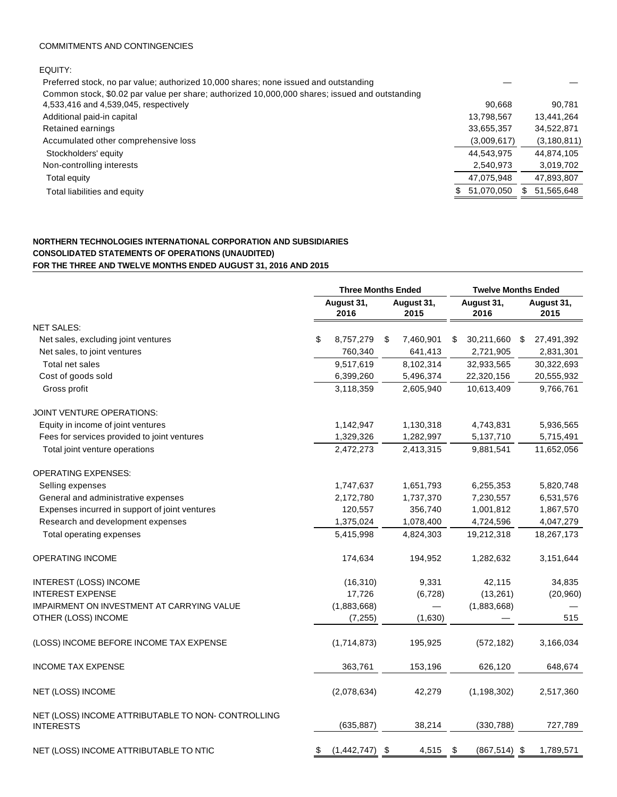#### COMMITMENTS AND CONTINGENCIES

EQUITY:

| Preferred stock, no par value; authorized 10,000 shares; none issued and outstanding           |                  |               |
|------------------------------------------------------------------------------------------------|------------------|---------------|
| Common stock, \$0.02 par value per share; authorized 10,000,000 shares; issued and outstanding |                  |               |
| 4,533,416 and 4,539,045, respectively                                                          | 90.668           | 90.781        |
| Additional paid-in capital                                                                     | 13,798,567       | 13,441,264    |
| Retained earnings                                                                              | 33,655,357       | 34,522,871    |
| Accumulated other comprehensive loss                                                           | (3,009,617)      | (3, 180, 811) |
| Stockholders' equity                                                                           | 44,543,975       | 44,874,105    |
| Non-controlling interests                                                                      | 2,540,973        | 3,019,702     |
| Total equity                                                                                   | 47,075,948       | 47,893,807    |
| Total liabilities and equity                                                                   | 51,070,050<br>S. | 51,565,648    |
|                                                                                                |                  |               |

#### **NORTHERN TECHNOLOGIES INTERNATIONAL CORPORATION AND SUBSIDIARIES CONSOLIDATED STATEMENTS OF OPERATIONS (UNAUDITED) FOR THE THREE AND TWELVE MONTHS ENDED AUGUST 31, 2016 AND 2015**

|                                                                        |                                          | <b>Three Months Ended</b> | <b>Twelve Months Ended</b> |                    |  |  |
|------------------------------------------------------------------------|------------------------------------------|---------------------------|----------------------------|--------------------|--|--|
|                                                                        | August 31,<br>August 31,<br>2016<br>2015 |                           | August 31,<br>2016         | August 31,<br>2015 |  |  |
| <b>NET SALES:</b>                                                      |                                          |                           |                            |                    |  |  |
| Net sales, excluding joint ventures                                    | \$<br>8,757,279                          | 7,460,901<br>\$           | 30,211,660<br>\$           | 27,491,392<br>\$   |  |  |
| Net sales, to joint ventures                                           | 760,340                                  | 641,413                   | 2,721,905                  | 2,831,301          |  |  |
| Total net sales                                                        | 9,517,619                                | 8,102,314                 | 32,933,565                 | 30,322,693         |  |  |
| Cost of goods sold                                                     | 6,399,260                                | 5,496,374                 | 22,320,156                 | 20,555,932         |  |  |
| Gross profit                                                           | 3,118,359                                | 2,605,940                 | 10,613,409                 | 9,766,761          |  |  |
| <b>JOINT VENTURE OPERATIONS:</b>                                       |                                          |                           |                            |                    |  |  |
| Equity in income of joint ventures                                     | 1,142,947                                | 1,130,318                 | 4,743,831                  | 5,936,565          |  |  |
| Fees for services provided to joint ventures                           | 1,329,326                                | 1,282,997                 | 5,137,710                  | 5,715,491          |  |  |
| Total joint venture operations                                         | 2,472,273                                | 2,413,315                 | 9,881,541                  | 11,652,056         |  |  |
| <b>OPERATING EXPENSES:</b>                                             |                                          |                           |                            |                    |  |  |
| Selling expenses                                                       | 1,747,637                                | 1,651,793                 | 6,255,353                  | 5,820,748          |  |  |
| General and administrative expenses                                    | 2,172,780                                | 1,737,370                 | 7,230,557                  | 6,531,576          |  |  |
| Expenses incurred in support of joint ventures                         | 120,557                                  | 356,740                   | 1,001,812                  | 1,867,570          |  |  |
| Research and development expenses                                      | 1,375,024                                | 1,078,400                 | 4,724,596                  | 4,047,279          |  |  |
| Total operating expenses                                               | 5,415,998                                | 4,824,303                 | 19,212,318                 | 18,267,173         |  |  |
| OPERATING INCOME                                                       | 174,634                                  | 194,952                   | 1,282,632                  | 3,151,644          |  |  |
| <b>INTEREST (LOSS) INCOME</b>                                          | (16, 310)                                | 9,331                     | 42,115                     | 34,835             |  |  |
| <b>INTEREST EXPENSE</b>                                                | 17,726                                   | (6, 728)                  | (13, 261)                  | (20, 960)          |  |  |
| IMPAIRMENT ON INVESTMENT AT CARRYING VALUE                             | (1,883,668)                              |                           | (1,883,668)                |                    |  |  |
| OTHER (LOSS) INCOME                                                    | (7, 255)                                 | (1,630)                   |                            | 515                |  |  |
| (LOSS) INCOME BEFORE INCOME TAX EXPENSE                                | (1,714,873)                              | 195,925                   | (572, 182)                 | 3,166,034          |  |  |
| <b>INCOME TAX EXPENSE</b>                                              | 363,761                                  | 153,196                   | 626,120                    | 648,674            |  |  |
| NET (LOSS) INCOME                                                      | (2,078,634)                              | 42,279                    | (1, 198, 302)              | 2,517,360          |  |  |
| NET (LOSS) INCOME ATTRIBUTABLE TO NON- CONTROLLING<br><b>INTERESTS</b> | (635, 887)                               | 38,214                    | (330, 788)                 | 727,789            |  |  |
| NET (LOSS) INCOME ATTRIBUTABLE TO NTIC                                 | $(1,442,747)$ \$<br>\$                   | 4,515                     | \$<br>$(867, 514)$ \$      | 1,789,571          |  |  |